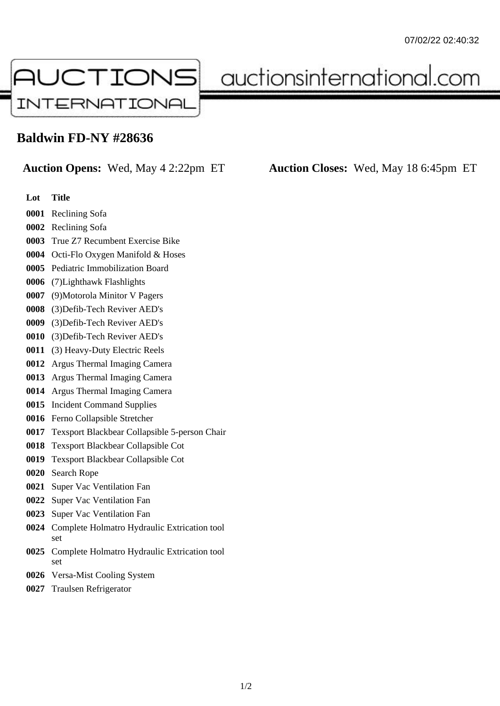

auctionsinternational.com

## **Baldwin FD-NY #28636**

## **Auction Opens:** Wed, May 4 2:22pm ET **Auction Closes:** Wed, May 18 6:45pm ET

- **Lot Title**
- Reclining Sofa
- Reclining Sofa
- True Z7 Recumbent Exercise Bike
- Octi-Flo Oxygen Manifold & Hoses
- Pediatric Immobilization Board
- (7)Lighthawk Flashlights
- (9)Motorola Minitor V Pagers
- (3)Defib-Tech Reviver AED's
- (3)Defib-Tech Reviver AED's
- (3)Defib-Tech Reviver AED's
- (3) Heavy-Duty Electric Reels
- Argus Thermal Imaging Camera
- Argus Thermal Imaging Camera
- Argus Thermal Imaging Camera
- Incident Command Supplies
- Ferno Collapsible Stretcher
- Texsport Blackbear Collapsible 5-person Chair
- Texsport Blackbear Collapsible Cot
- Texsport Blackbear Collapsible Cot
- Search Rope
- Super Vac Ventilation Fan
- Super Vac Ventilation Fan
- Super Vac Ventilation Fan
- Complete Holmatro Hydraulic Extrication tool set
- Complete Holmatro Hydraulic Extrication tool set
- Versa-Mist Cooling System
- Traulsen Refrigerator